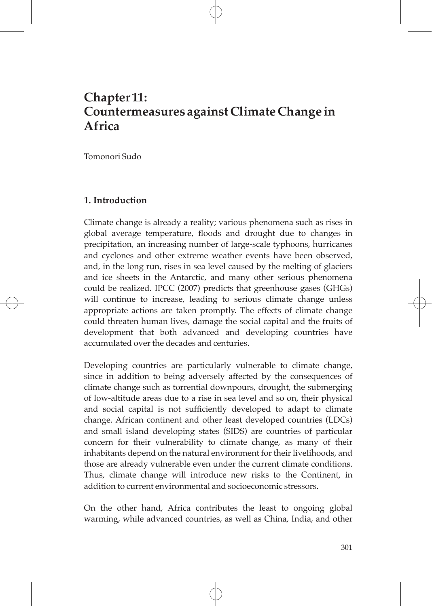# **Chapter 11: Countermeasures against Climate Change in Africa**

Tomonori Sudo

### **1. Introduction**

Climate change is already a reality; various phenomena such as rises in global average temperature, floods and drought due to changes in precipitation, an increasing number of large-scale typhoons, hurricanes and cyclones and other extreme weather events have been observed, and, in the long run, rises in sea level caused by the melting of glaciers and ice sheets in the Antarctic, and many other serious phenomena could be realized. IPCC (2007) predicts that greenhouse gases (GHGs) will continue to increase, leading to serious climate change unless appropriate actions are taken promptly. The effects of climate change could threaten human lives, damage the social capital and the fruits of development that both advanced and developing countries have accumulated over the decades and centuries.

Developing countries are particularly vulnerable to climate change, since in addition to being adversely affected by the consequences of climate change such as torrential downpours, drought, the submerging of low-altitude areas due to a rise in sea level and so on, their physical and social capital is not sufficiently developed to adapt to climate change. African continent and other least developed countries (LDCs) and small island developing states (SIDS) are countries of particular concern for their vulnerability to climate change, as many of their inhabitants depend on the natural environment for their livelihoods, and those are already vulnerable even under the current climate conditions. Thus, climate change will introduce new risks to the Continent, in addition to current environmental and socioeconomic stressors.

On the other hand, Africa contributes the least to ongoing global warming, while advanced countries, as well as China, India, and other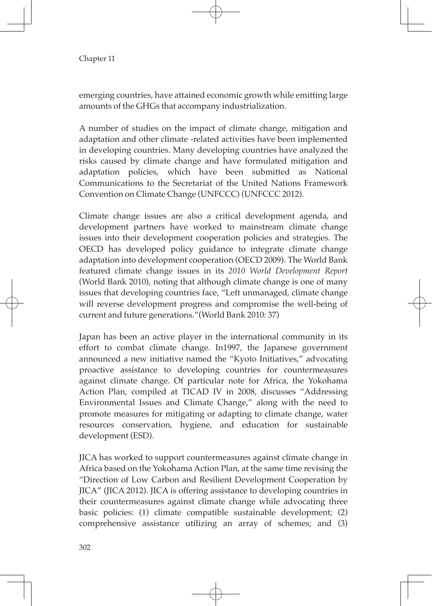emerging countries, have attained economic growth while emitting large amounts of the GHGs that accompany industrialization.

A number of studies on the impact of climate change, mitigation and adaptation and other climate -related activities have been implemented in developing countries. Many developing countries have analyzed the risks caused by climate change and have formulated mitigation and adaptation policies, which have been submitted as National Communications to the Secretariat of the United Nations Framework Convention on Climate Change (UNFCCC) (UNFCCC 2012).

Climate change issues are also a critical development agenda, and development partners have worked to mainstream climate change issues into their development cooperation policies and strategies. The OECD has developed policy guidance to integrate climate change adaptation into development cooperation (OECD 2009). The World Bank featured climate change issues in its *2010 World Development Report* (World Bank 2010), noting that although climate change is one of many issues that developing countries face, "Left unmanaged, climate change will reverse development progress and compromise the well-being of current and future generations."(World Bank 2010: 37)

Japan has been an active player in the international community in its effort to combat climate change. In1997, the Japanese government announced a new initiative named the "Kyoto Initiatives," advocating proactive assistance to developing countries for countermeasures against climate change. Of particular note for Africa, the Yokohama Action Plan, compiled at TICAD IV in 2008, discusses "Addressing Environmental Issues and Climate Change," along with the need to promote measures for mitigating or adapting to climate change, water resources conservation, hygiene, and education for sustainable development (ESD).

JICA has worked to support countermeasures against climate change in Africa based on the Yokohama Action Plan, at the same time revising the "Direction of Low Carbon and Resilient Development Cooperation by JICA" (JICA 2012). JICA is offering assistance to developing countries in their countermeasures against climate change while advocating three basic policies: (1) climate compatible sustainable development; (2) comprehensive assistance utilizing an array of schemes; and (3)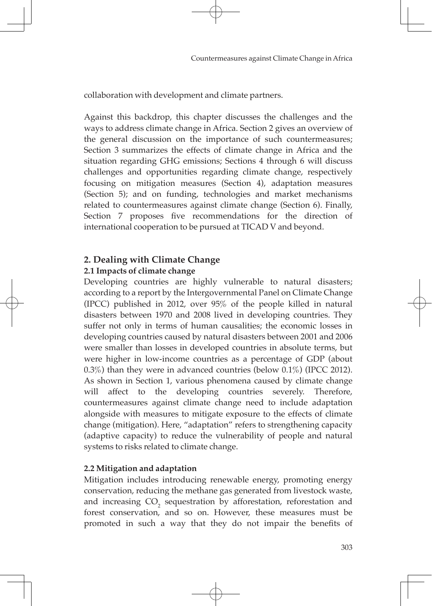collaboration with development and climate partners.

Against this backdrop, this chapter discusses the challenges and the ways to address climate change in Africa. Section 2 gives an overview of the general discussion on the importance of such countermeasures; Section 3 summarizes the effects of climate change in Africa and the situation regarding GHG emissions; Sections 4 through 6 will discuss challenges and opportunities regarding climate change, respectively focusing on mitigation measures (Section 4), adaptation measures (Section 5); and on funding, technologies and market mechanisms related to countermeasures against climate change (Section 6). Finally, Section 7 proposes five recommendations for the direction of international cooperation to be pursued at TICAD V and beyond.

# **2. Dealing with Climate Change**

# **2.1 Impacts of climate change**

Developing countries are highly vulnerable to natural disasters; according to a report by the Intergovernmental Panel on Climate Change (IPCC) published in 2012, over 95% of the people killed in natural disasters between 1970 and 2008 lived in developing countries. They suffer not only in terms of human causalities; the economic losses in developing countries caused by natural disasters between 2001 and 2006 were smaller than losses in developed countries in absolute terms, but were higher in low-income countries as a percentage of GDP (about 0.3%) than they were in advanced countries (below 0.1%) (IPCC 2012). As shown in Section 1, various phenomena caused by climate change will affect to the developing countries severely. Therefore, countermeasures against climate change need to include adaptation alongside with measures to mitigate exposure to the effects of climate change (mitigation). Here, "adaptation" refers to strengthening capacity (adaptive capacity) to reduce the vulnerability of people and natural systems to risks related to climate change.

# **2.2 Mitigation and adaptation**

Mitigation includes introducing renewable energy, promoting energy conservation, reducing the methane gas generated from livestock waste, and increasing  $CO<sub>2</sub>$  sequestration by afforestation, reforestation and forest conservation, and so on. However, these measures must be promoted in such a way that they do not impair the benefits of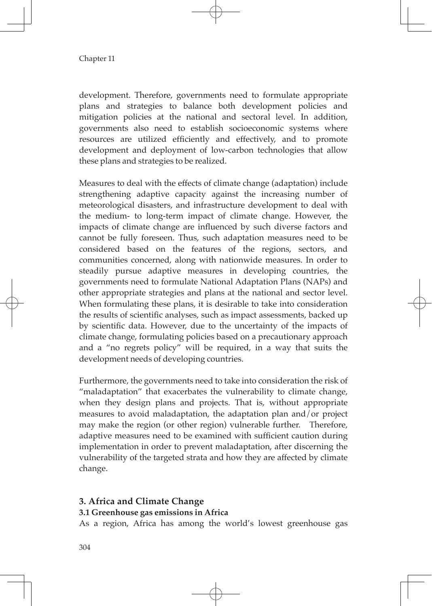development. Therefore, governments need to formulate appropriate plans and strategies to balance both development policies and mitigation policies at the national and sectoral level. In addition, governments also need to establish socioeconomic systems where resources are utilized efficiently and effectively, and to promote development and deployment of low-carbon technologies that allow these plans and strategies to be realized.

Measures to deal with the effects of climate change (adaptation) include strengthening adaptive capacity against the increasing number of meteorological disasters, and infrastructure development to deal with the medium- to long-term impact of climate change. However, the impacts of climate change are influenced by such diverse factors and cannot be fully foreseen. Thus, such adaptation measures need to be considered based on the features of the regions, sectors, and communities concerned, along with nationwide measures. In order to steadily pursue adaptive measures in developing countries, the governments need to formulate National Adaptation Plans (NAPs) and other appropriate strategies and plans at the national and sector level. When formulating these plans, it is desirable to take into consideration the results of scientific analyses, such as impact assessments, backed up by scientific data. However, due to the uncertainty of the impacts of climate change, formulating policies based on a precautionary approach and a "no regrets policy" will be required, in a way that suits the development needs of developing countries.

Furthermore, the governments need to take into consideration the risk of "maladaptation" that exacerbates the vulnerability to climate change, when they design plans and projects. That is, without appropriate measures to avoid maladaptation, the adaptation plan and/or project may make the region (or other region) vulnerable further. Therefore, adaptive measures need to be examined with sufficient caution during implementation in order to prevent maladaptation, after discerning the vulnerability of the targeted strata and how they are affected by climate change.

# **3. Africa and Climate Change**

### **3.1 Greenhouse gas emissions in Africa**

As a region, Africa has among the world's lowest greenhouse gas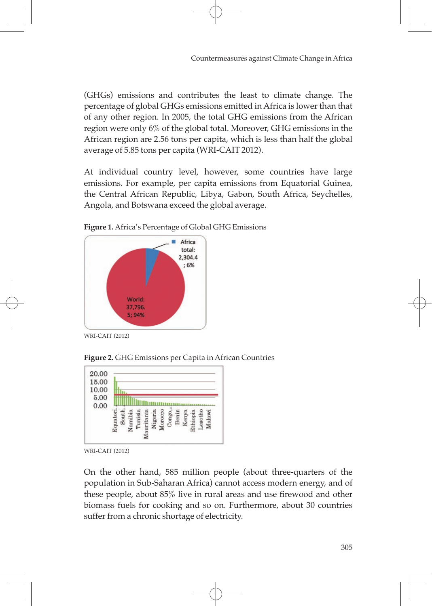(GHGs) emissions and contributes the least to climate change. The percentage of global GHGs emissions emitted in Africa is lower than that of any other region. In 2005, the total GHG emissions from the African region were only 6% of the global total. Moreover, GHG emissions in the African region are 2.56 tons per capita, which is less than half the global average of 5.85 tons per capita (WRI-CAIT 2012).

At individual country level, however, some countries have large emissions. For example, per capita emissions from Equatorial Guinea, the Central African Republic, Libya, Gabon, South Africa, Seychelles, Angola, and Botswana exceed the global average.



**Figure 1.** Africa's Percentage of Global GHG Emissions

WRI-CAIT (2012)





WRI-CAIT (2012)

On the other hand, 585 million people (about three-quarters of the population in Sub-Saharan Africa) cannot access modern energy, and of these people, about 85% live in rural areas and use firewood and other biomass fuels for cooking and so on. Furthermore, about 30 countries suffer from a chronic shortage of electricity.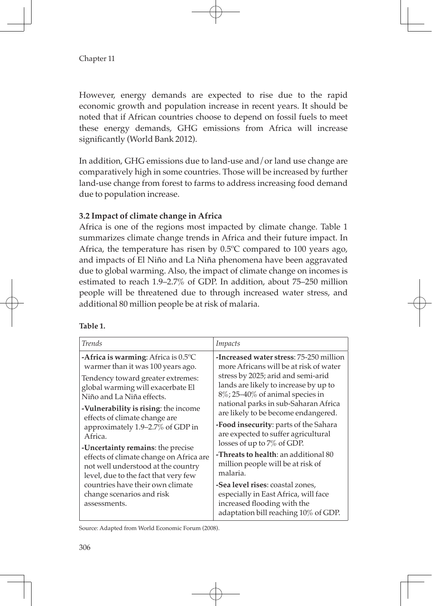However, energy demands are expected to rise due to the rapid economic growth and population increase in recent years. It should be noted that if African countries choose to depend on fossil fuels to meet these energy demands, GHG emissions from Africa will increase significantly (World Bank 2012).

In addition, GHG emissions due to land-use and/or land use change are comparatively high in some countries. Those will be increased by further land-use change from forest to farms to address increasing food demand due to population increase.

### **3.2 Impact of climate change in Africa**

Africa is one of the regions most impacted by climate change. Table 1 summarizes climate change trends in Africa and their future impact. In Africa, the temperature has risen by 0.5ºC compared to 100 years ago, and impacts of El Niño and La Niña phenomena have been aggravated due to global warming. Also, the impact of climate change on incomes is estimated to reach 1.9–2.7% of GDP. In addition, about 75–250 million people will be threatened due to through increased water stress, and additional 80 million people be at risk of malaria.

| <b>Trends</b>                                                                 | Impacts                                                                                                                                         |
|-------------------------------------------------------------------------------|-------------------------------------------------------------------------------------------------------------------------------------------------|
| -Africa is warming: Africa is $0.5^{\circ}$ C                                 | -Increased water stress: 75-250 million                                                                                                         |
| warmer than it was 100 years ago.                                             | more Africans will be at risk of water                                                                                                          |
| Tendency toward greater extremes:                                             | stress by 2025; arid and semi-arid                                                                                                              |
| global warming will exacerbate El                                             | lands are likely to increase by up to                                                                                                           |
| Niño and La Niña effects.                                                     | $8\%$ ; 25-40% of animal species in                                                                                                             |
| -Vulnerability is rising: the income                                          | national parks in sub-Saharan Africa                                                                                                            |
| effects of climate change are                                                 | are likely to be become endangered.                                                                                                             |
| approximately 1.9-2.7% of GDP in                                              | -Food insecurity: parts of the Sahara                                                                                                           |
| Africa.                                                                       | are expected to suffer agricultural                                                                                                             |
| -Uncertainty remains: the precise                                             | losses of up to 7% of GDP.                                                                                                                      |
| effects of climate change on Africa are                                       | -Threats to health: an additional 80                                                                                                            |
| not well understood at the country                                            | million people will be at risk of                                                                                                               |
| level, due to the fact that very few                                          | malaria.                                                                                                                                        |
| countries have their own climate<br>change scenarios and risk<br>assessments. | -Sea level rises: coastal zones,<br>especially in East Africa, will face<br>increased flooding with the<br>adaptation bill reaching 10% of GDP. |

**Table 1.**

Source: Adapted from World Economic Forum (2008).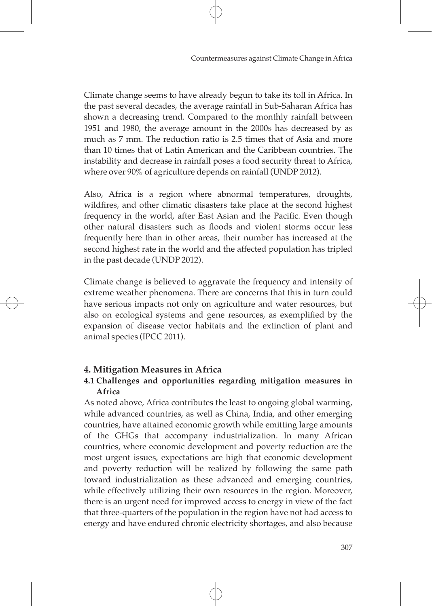Climate change seems to have already begun to take its toll in Africa. In the past several decades, the average rainfall in Sub-Saharan Africa has shown a decreasing trend. Compared to the monthly rainfall between 1951 and 1980, the average amount in the 2000s has decreased by as much as 7 mm. The reduction ratio is 2.5 times that of Asia and more than 10 times that of Latin American and the Caribbean countries. The instability and decrease in rainfall poses a food security threat to Africa, where over 90% of agriculture depends on rainfall (UNDP 2012).

Also, Africa is a region where abnormal temperatures, droughts, wildfires, and other climatic disasters take place at the second highest frequency in the world, after East Asian and the Pacific. Even though other natural disasters such as floods and violent storms occur less frequently here than in other areas, their number has increased at the second highest rate in the world and the affected population has tripled in the past decade (UNDP 2012).

Climate change is believed to aggravate the frequency and intensity of extreme weather phenomena. There are concerns that this in turn could have serious impacts not only on agriculture and water resources, but also on ecological systems and gene resources, as exemplified by the expansion of disease vector habitats and the extinction of plant and animal species (IPCC 2011).

### **4. Mitigation Measures in Africa**

### **4.1 Challenges and opportunities regarding mitigation measures in Africa**

As noted above, Africa contributes the least to ongoing global warming, while advanced countries, as well as China, India, and other emerging countries, have attained economic growth while emitting large amounts of the GHGs that accompany industrialization. In many African countries, where economic development and poverty reduction are the most urgent issues, expectations are high that economic development and poverty reduction will be realized by following the same path toward industrialization as these advanced and emerging countries, while effectively utilizing their own resources in the region. Moreover, there is an urgent need for improved access to energy in view of the fact that three-quarters of the population in the region have not had access to energy and have endured chronic electricity shortages, and also because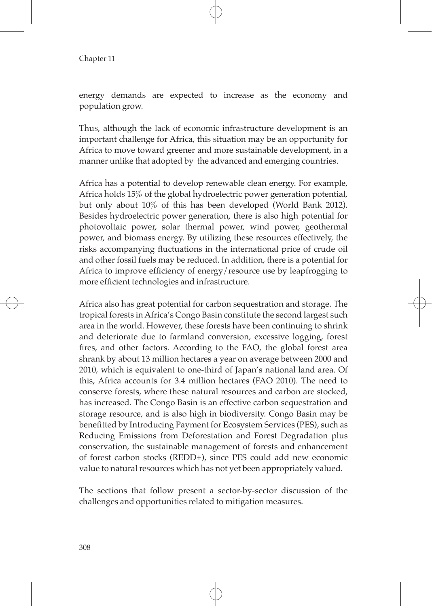energy demands are expected to increase as the economy and population grow.

Thus, although the lack of economic infrastructure development is an important challenge for Africa, this situation may be an opportunity for Africa to move toward greener and more sustainable development, in a manner unlike that adopted by the advanced and emerging countries.

Africa has a potential to develop renewable clean energy. For example, Africa holds 15% of the global hydroelectric power generation potential, but only about 10% of this has been developed (World Bank 2012). Besides hydroelectric power generation, there is also high potential for photovoltaic power, solar thermal power, wind power, geothermal power, and biomass energy. By utilizing these resources effectively, the risks accompanying fluctuations in the international price of crude oil and other fossil fuels may be reduced. In addition, there is a potential for Africa to improve efficiency of energy/resource use by leapfrogging to more efficient technologies and infrastructure.

Africa also has great potential for carbon sequestration and storage. The tropical forests in Africa's Congo Basin constitute the second largest such area in the world. However, these forests have been continuing to shrink and deteriorate due to farmland conversion, excessive logging, forest fires, and other factors. According to the FAO, the global forest area shrank by about 13 million hectares a year on average between 2000 and 2010, which is equivalent to one-third of Japan's national land area. Of this, Africa accounts for 3.4 million hectares (FAO 2010). The need to conserve forests, where these natural resources and carbon are stocked, has increased. The Congo Basin is an effective carbon sequestration and storage resource, and is also high in biodiversity. Congo Basin may be benefitted by Introducing Payment for Ecosystem Services (PES), such as Reducing Emissions from Deforestation and Forest Degradation plus conservation, the sustainable management of forests and enhancement of forest carbon stocks (REDD+), since PES could add new economic value to natural resources which has not yet been appropriately valued.

The sections that follow present a sector-by-sector discussion of the challenges and opportunities related to mitigation measures.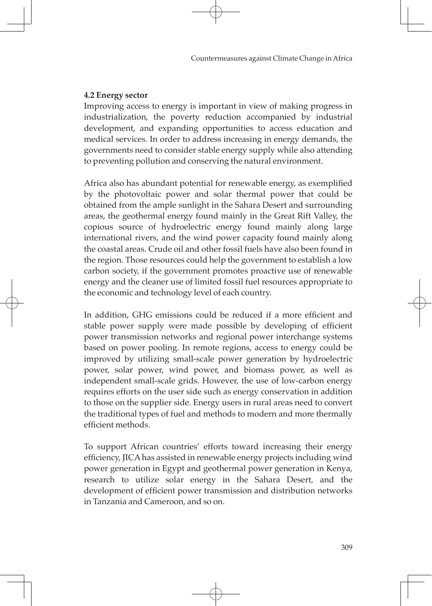### **4.2 Energy sector**

Improving access to energy is important in view of making progress in industrialization, the poverty reduction accompanied by industrial development, and expanding opportunities to access education and medical services. In order to address increasing in energy demands, the governments need to consider stable energy supply while also attending to preventing pollution and conserving the natural environment.

Africa also has abundant potential for renewable energy, as exemplified by the photovoltaic power and solar thermal power that could be obtained from the ample sunlight in the Sahara Desert and surrounding areas, the geothermal energy found mainly in the Great Rift Valley, the copious source of hydroelectric energy found mainly along large international rivers, and the wind power capacity found mainly along the coastal areas. Crude oil and other fossil fuels have also been found in the region. Those resources could help the government to establish a low carbon society, if the government promotes proactive use of renewable energy and the cleaner use of limited fossil fuel resources appropriate to the economic and technology level of each country.

In addition, GHG emissions could be reduced if a more efficient and stable power supply were made possible by developing of efficient power transmission networks and regional power interchange systems based on power pooling. In remote regions, access to energy could be improved by utilizing small-scale power generation by hydroelectric power, solar power, wind power, and biomass power, as well as independent small-scale grids. However, the use of low-carbon energy requires efforts on the user side such as energy conservation in addition to those on the supplier side. Energy users in rural areas need to convert the traditional types of fuel and methods to modern and more thermally efficient methods.

To support African countries' efforts toward increasing their energy efficiency, JICA has assisted in renewable energy projects including wind power generation in Egypt and geothermal power generation in Kenya, research to utilize solar energy in the Sahara Desert, and the development of efficient power transmission and distribution networks in Tanzania and Cameroon, and so on.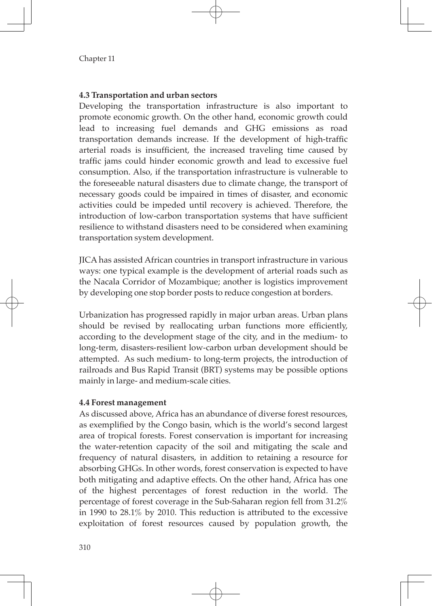### **4.3 Transportation and urban sectors**

Developing the transportation infrastructure is also important to promote economic growth. On the other hand, economic growth could lead to increasing fuel demands and GHG emissions as road transportation demands increase. If the development of high-traffic arterial roads is insufficient, the increased traveling time caused by traffic jams could hinder economic growth and lead to excessive fuel consumption. Also, if the transportation infrastructure is vulnerable to the foreseeable natural disasters due to climate change, the transport of necessary goods could be impaired in times of disaster, and economic activities could be impeded until recovery is achieved. Therefore, the introduction of low-carbon transportation systems that have sufficient resilience to withstand disasters need to be considered when examining transportation system development.

JICA has assisted African countries in transport infrastructure in various ways: one typical example is the development of arterial roads such as the Nacala Corridor of Mozambique; another is logistics improvement by developing one stop border posts to reduce congestion at borders.

Urbanization has progressed rapidly in major urban areas. Urban plans should be revised by reallocating urban functions more efficiently, according to the development stage of the city, and in the medium- to long-term, disasters-resilient low-carbon urban development should be attempted. As such medium- to long-term projects, the introduction of railroads and Bus Rapid Transit (BRT) systems may be possible options mainly in large- and medium-scale cities.

### **4.4 Forest management**

As discussed above, Africa has an abundance of diverse forest resources, as exemplified by the Congo basin, which is the world's second largest area of tropical forests. Forest conservation is important for increasing the water-retention capacity of the soil and mitigating the scale and frequency of natural disasters, in addition to retaining a resource for absorbing GHGs. In other words, forest conservation is expected to have both mitigating and adaptive effects. On the other hand, Africa has one of the highest percentages of forest reduction in the world. The percentage of forest coverage in the Sub-Saharan region fell from 31.2% in 1990 to 28.1% by 2010. This reduction is attributed to the excessive exploitation of forest resources caused by population growth, the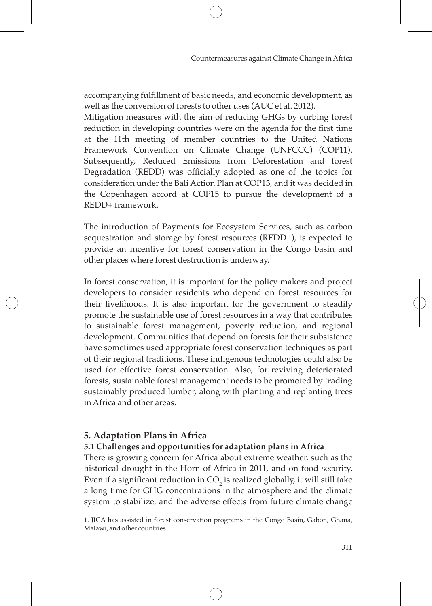accompanying fulfillment of basic needs, and economic development, as well as the conversion of forests to other uses (AUC et al. 2012).

Mitigation measures with the aim of reducing GHGs by curbing forest reduction in developing countries were on the agenda for the first time at the 11th meeting of member countries to the United Nations Framework Convention on Climate Change (UNFCCC) (COP11). Subsequently, Reduced Emissions from Deforestation and forest Degradation (REDD) was officially adopted as one of the topics for consideration under the Bali Action Plan at COP13, and it was decided in the Copenhagen accord at COP15 to pursue the development of a REDD+ framework.

The introduction of Payments for Ecosystem Services, such as carbon sequestration and storage by forest resources (REDD+), is expected to provide an incentive for forest conservation in the Congo basin and other places where forest destruction is underway.<sup>1</sup>

In forest conservation, it is important for the policy makers and project developers to consider residents who depend on forest resources for their livelihoods. It is also important for the government to steadily promote the sustainable use of forest resources in a way that contributes to sustainable forest management, poverty reduction, and regional development. Communities that depend on forests for their subsistence have sometimes used appropriate forest conservation techniques as part of their regional traditions. These indigenous technologies could also be used for effective forest conservation. Also, for reviving deteriorated forests, sustainable forest management needs to be promoted by trading sustainably produced lumber, along with planting and replanting trees in Africa and other areas.

# **5. Adaptation Plans in Africa**

### **5.1 Challenges and opportunities for adaptation plans in Africa**

There is growing concern for Africa about extreme weather, such as the historical drought in the Horn of Africa in 2011, and on food security. Even if a significant reduction in  $\mathrm{CO}_2$  is realized globally, it will still take a long time for GHG concentrations in the atmosphere and the climate system to stabilize, and the adverse effects from future climate change

<sup>1.</sup> JICA has assisted in forest conservation programs in the Congo Basin, Gabon, Ghana, Malawi, and other countries.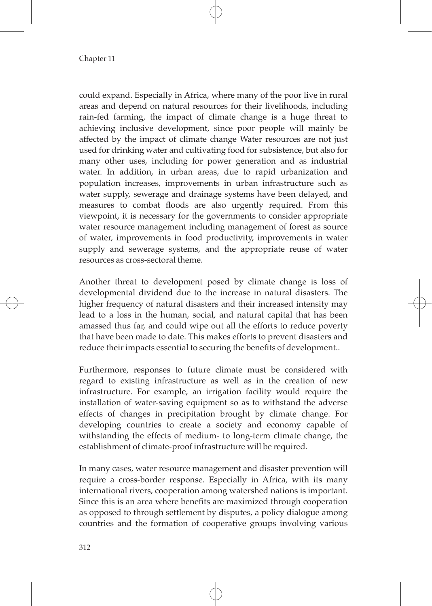could expand. Especially in Africa, where many of the poor live in rural areas and depend on natural resources for their livelihoods, including rain-fed farming, the impact of climate change is a huge threat to achieving inclusive development, since poor people will mainly be affected by the impact of climate change Water resources are not just used for drinking water and cultivating food for subsistence, but also for many other uses, including for power generation and as industrial water. In addition, in urban areas, due to rapid urbanization and population increases, improvements in urban infrastructure such as water supply, sewerage and drainage systems have been delayed, and measures to combat floods are also urgently required. From this viewpoint, it is necessary for the governments to consider appropriate water resource management including management of forest as source of water, improvements in food productivity, improvements in water supply and sewerage systems, and the appropriate reuse of water resources as cross-sectoral theme.

Another threat to development posed by climate change is loss of developmental dividend due to the increase in natural disasters. The higher frequency of natural disasters and their increased intensity may lead to a loss in the human, social, and natural capital that has been amassed thus far, and could wipe out all the efforts to reduce poverty that have been made to date. This makes efforts to prevent disasters and reduce their impacts essential to securing the benefits of development..

Furthermore, responses to future climate must be considered with regard to existing infrastructure as well as in the creation of new infrastructure. For example, an irrigation facility would require the installation of water-saving equipment so as to withstand the adverse effects of changes in precipitation brought by climate change. For developing countries to create a society and economy capable of withstanding the effects of medium- to long-term climate change, the establishment of climate-proof infrastructure will be required.

In many cases, water resource management and disaster prevention will require a cross-border response. Especially in Africa, with its many international rivers, cooperation among watershed nations is important. Since this is an area where benefits are maximized through cooperation as opposed to through settlement by disputes, a policy dialogue among countries and the formation of cooperative groups involving various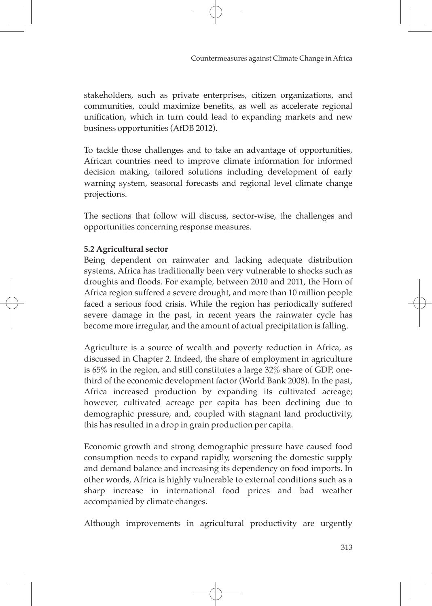stakeholders, such as private enterprises, citizen organizations, and communities, could maximize benefits, as well as accelerate regional unification, which in turn could lead to expanding markets and new business opportunities (AfDB 2012).

To tackle those challenges and to take an advantage of opportunities, African countries need to improve climate information for informed decision making, tailored solutions including development of early warning system, seasonal forecasts and regional level climate change projections.

The sections that follow will discuss, sector-wise, the challenges and opportunities concerning response measures.

### **5.2 Agricultural sector**

Being dependent on rainwater and lacking adequate distribution systems, Africa has traditionally been very vulnerable to shocks such as droughts and floods. For example, between 2010 and 2011, the Horn of Africa region suffered a severe drought, and more than 10 million people faced a serious food crisis. While the region has periodically suffered severe damage in the past, in recent years the rainwater cycle has become more irregular, and the amount of actual precipitation is falling.

Agriculture is a source of wealth and poverty reduction in Africa, as discussed in Chapter 2. Indeed, the share of employment in agriculture is 65% in the region, and still constitutes a large 32% share of GDP, onethird of the economic development factor (World Bank 2008). In the past, Africa increased production by expanding its cultivated acreage; however, cultivated acreage per capita has been declining due to demographic pressure, and, coupled with stagnant land productivity, this has resulted in a drop in grain production per capita.

Economic growth and strong demographic pressure have caused food consumption needs to expand rapidly, worsening the domestic supply and demand balance and increasing its dependency on food imports. In other words, Africa is highly vulnerable to external conditions such as a sharp increase in international food prices and bad weather accompanied by climate changes.

Although improvements in agricultural productivity are urgently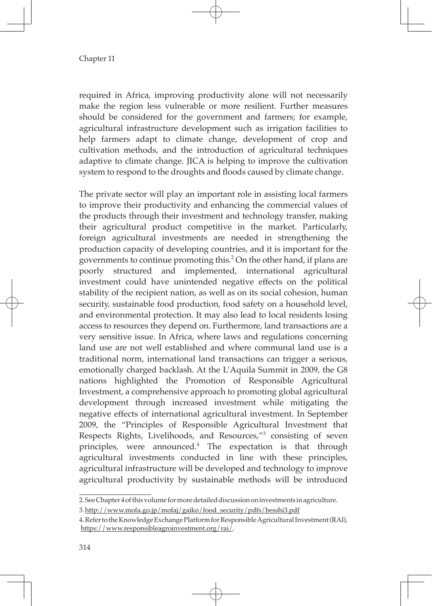required in Africa, improving productivity alone will not necessarily make the region less vulnerable or more resilient. Further measures should be considered for the government and farmers; for example, agricultural infrastructure development such as irrigation facilities to help farmers adapt to climate change, development of crop and cultivation methods, and the introduction of agricultural techniques adaptive to climate change. JICA is helping to improve the cultivation system to respond to the droughts and floods caused by climate change.

The private sector will play an important role in assisting local farmers to improve their productivity and enhancing the commercial values of the products through their investment and technology transfer, making their agricultural product competitive in the market. Particularly, foreign agricultural investments are needed in strengthening the production capacity of developing countries, and it is important for the governments to continue promoting this.<sup>2</sup> On the other hand, if plans are poorly structured and implemented, international agricultural investment could have unintended negative effects on the political stability of the recipient nation, as well as on its social cohesion, human security, sustainable food production, food safety on a household level, and environmental protection. It may also lead to local residents losing access to resources they depend on. Furthermore, land transactions are a very sensitive issue. In Africa, where laws and regulations concerning land use are not well established and where communal land use is a traditional norm, international land transactions can trigger a serious, emotionally charged backlash. At the L'Aquila Summit in 2009, the G8 nations highlighted the Promotion of Responsible Agricultural Investment, a comprehensive approach to promoting global agricultural development through increased investment while mitigating the negative effects of international agricultural investment. In September 2009, the "Principles of Responsible Agricultural Investment that Respects Rights, Livelihoods, and Resources,"<sup>3</sup> consisting of seven principles, were announced.<sup>4</sup> The expectation is that through agricultural investments conducted in line with these principles, agricultural infrastructure will be developed and technology to improve agricultural productivity by sustainable methods will be introduced

<sup>2.</sup> See Chapter 4 of this volume for more detailed discussion on investments in agriculture.

<sup>3.</sup> http://www.mofa.go.jp/mofaj/gaiko/food\_security/pdfs/besshi3.pdf

<sup>4.</sup> Refer to the Knowledge Exchange Platform for Responsible Agricultural Investment (RAI), https://www.responsibleagroinvestment.org/rai/.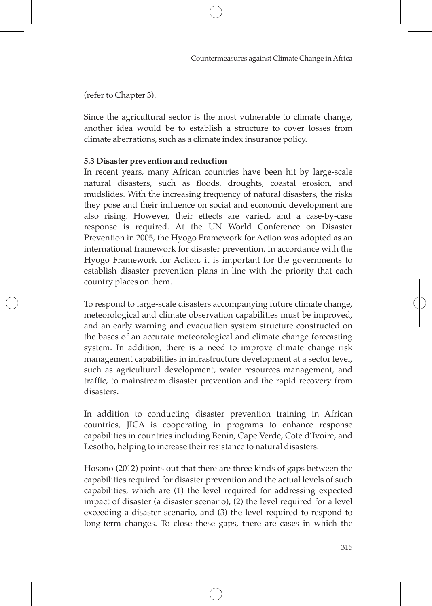(refer to Chapter 3).

Since the agricultural sector is the most vulnerable to climate change, another idea would be to establish a structure to cover losses from climate aberrations, such as a climate index insurance policy.

### **5.3 Disaster prevention and reduction**

In recent years, many African countries have been hit by large-scale natural disasters, such as floods, droughts, coastal erosion, and mudslides. With the increasing frequency of natural disasters, the risks they pose and their influence on social and economic development are also rising. However, their effects are varied, and a case-by-case response is required. At the UN World Conference on Disaster Prevention in 2005, the Hyogo Framework for Action was adopted as an international framework for disaster prevention. In accordance with the Hyogo Framework for Action, it is important for the governments to establish disaster prevention plans in line with the priority that each country places on them.

To respond to large-scale disasters accompanying future climate change, meteorological and climate observation capabilities must be improved, and an early warning and evacuation system structure constructed on the bases of an accurate meteorological and climate change forecasting system. In addition, there is a need to improve climate change risk management capabilities in infrastructure development at a sector level, such as agricultural development, water resources management, and traffic, to mainstream disaster prevention and the rapid recovery from disasters.

In addition to conducting disaster prevention training in African countries, JICA is cooperating in programs to enhance response capabilities in countries including Benin, Cape Verde, Cote d'Ivoire, and Lesotho, helping to increase their resistance to natural disasters.

Hosono (2012) points out that there are three kinds of gaps between the capabilities required for disaster prevention and the actual levels of such capabilities, which are (1) the level required for addressing expected impact of disaster (a disaster scenario), (2) the level required for a level exceeding a disaster scenario, and (3) the level required to respond to long-term changes. To close these gaps, there are cases in which the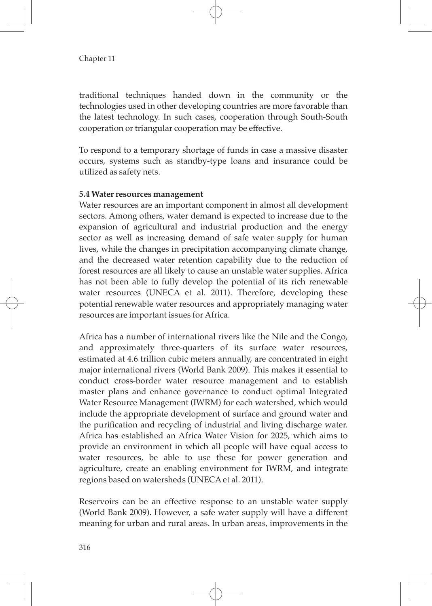traditional techniques handed down in the community or the technologies used in other developing countries are more favorable than the latest technology. In such cases, cooperation through South-South cooperation or triangular cooperation may be effective.

To respond to a temporary shortage of funds in case a massive disaster occurs, systems such as standby-type loans and insurance could be utilized as safety nets.

### **5.4 Water resources management**

Water resources are an important component in almost all development sectors. Among others, water demand is expected to increase due to the expansion of agricultural and industrial production and the energy sector as well as increasing demand of safe water supply for human lives, while the changes in precipitation accompanying climate change, and the decreased water retention capability due to the reduction of forest resources are all likely to cause an unstable water supplies. Africa has not been able to fully develop the potential of its rich renewable water resources (UNECA et al. 2011). Therefore, developing these potential renewable water resources and appropriately managing water resources are important issues for Africa.

Africa has a number of international rivers like the Nile and the Congo, and approximately three-quarters of its surface water resources, estimated at 4.6 trillion cubic meters annually, are concentrated in eight major international rivers (World Bank 2009). This makes it essential to conduct cross-border water resource management and to establish master plans and enhance governance to conduct optimal Integrated Water Resource Management (IWRM) for each watershed, which would include the appropriate development of surface and ground water and the purification and recycling of industrial and living discharge water. Africa has established an Africa Water Vision for 2025, which aims to provide an environment in which all people will have equal access to water resources, be able to use these for power generation and agriculture, create an enabling environment for IWRM, and integrate regions based on watersheds (UNECA et al. 2011).

Reservoirs can be an effective response to an unstable water supply (World Bank 2009). However, a safe water supply will have a different meaning for urban and rural areas. In urban areas, improvements in the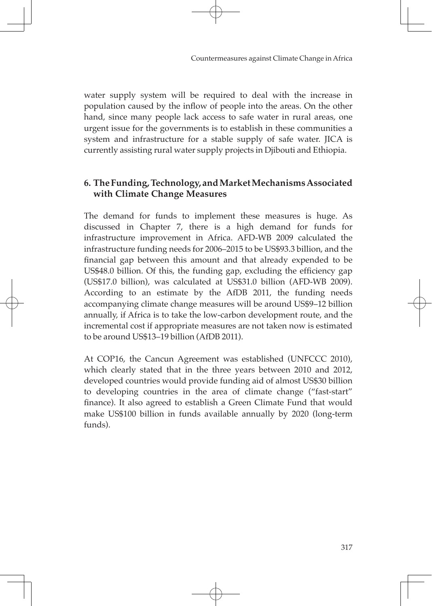water supply system will be required to deal with the increase in population caused by the inflow of people into the areas. On the other hand, since many people lack access to safe water in rural areas, one urgent issue for the governments is to establish in these communities a system and infrastructure for a stable supply of safe water. JICA is currently assisting rural water supply projects in Djibouti and Ethiopia.

# **6. The Funding, Technology, and Market Mechanisms Associated with Climate Change Measures**

The demand for funds to implement these measures is huge. As discussed in Chapter 7, there is a high demand for funds for infrastructure improvement in Africa. AFD-WB 2009 calculated the infrastructure funding needs for 2006–2015 to be US\$93.3 billion, and the financial gap between this amount and that already expended to be US\$48.0 billion. Of this, the funding gap, excluding the efficiency gap (US\$17.0 billion), was calculated at US\$31.0 billion (AFD-WB 2009). According to an estimate by the AfDB 2011, the funding needs accompanying climate change measures will be around US\$9–12 billion annually, if Africa is to take the low-carbon development route, and the incremental cost if appropriate measures are not taken now is estimated to be around US\$13–19 billion (AfDB 2011).

At COP16, the Cancun Agreement was established (UNFCCC 2010), which clearly stated that in the three years between 2010 and 2012, developed countries would provide funding aid of almost US\$30 billion to developing countries in the area of climate change ("fast-start" finance). It also agreed to establish a Green Climate Fund that would make US\$100 billion in funds available annually by 2020 (long-term funds).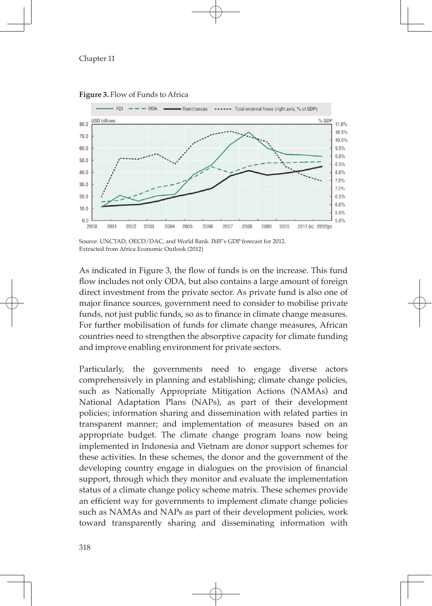

**Figure 3.** Flow of Funds to Africa

Source: UNCTAD, OECD/DAC, and World Bank. IMF's GDP forecast for 2012. Extracted from Africa Economic Outlook (2012)

As indicated in Figure 3, the flow of funds is on the increase. This fund flow includes not only ODA, but also contains a large amount of foreign direct investment from the private sector. As private fund is also one of major finance sources, government need to consider to mobilise private funds, not just public funds, so as to finance in climate change measures. For further mobilisation of funds for climate change measures, African countries need to strengthen the absorptive capacity for climate funding and improve enabling environment for private sectors.

Particularly, the governments need to engage diverse actors comprehensively in planning and establishing; climate change policies, such as Nationally Appropriate Mitigation Actions (NAMAs) and National Adaptation Plans (NAPs), as part of their development policies; information sharing and dissemination with related parties in transparent manner; and implementation of measures based on an appropriate budget. The climate change program loans now being implemented in Indonesia and Vietnam are donor support schemes for these activities. In these schemes, the donor and the government of the developing country engage in dialogues on the provision of financial support, through which they monitor and evaluate the implementation status of a climate change policy scheme matrix. These schemes provide an efficient way for governments to implement climate change policies such as NAMAs and NAPs as part of their development policies, work toward transparently sharing and disseminating information with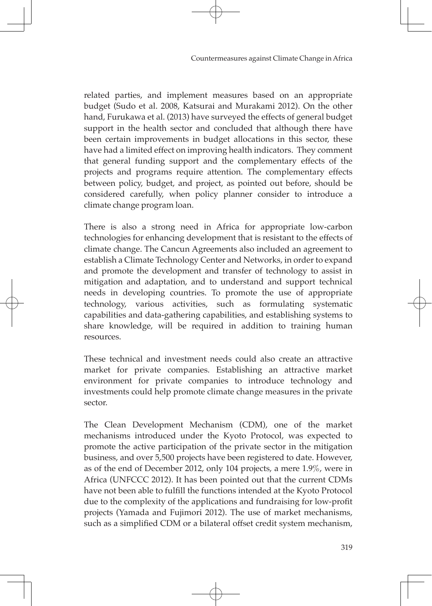related parties, and implement measures based on an appropriate budget (Sudo et al. 2008, Katsurai and Murakami 2012). On the other hand, Furukawa et al. (2013) have surveyed the effects of general budget support in the health sector and concluded that although there have been certain improvements in budget allocations in this sector, these have had a limited effect on improving health indicators. They comment that general funding support and the complementary effects of the projects and programs require attention. The complementary effects between policy, budget, and project, as pointed out before, should be considered carefully, when policy planner consider to introduce a climate change program loan.

There is also a strong need in Africa for appropriate low-carbon technologies for enhancing development that is resistant to the effects of climate change. The Cancun Agreements also included an agreement to establish a Climate Technology Center and Networks, in order to expand and promote the development and transfer of technology to assist in mitigation and adaptation, and to understand and support technical needs in developing countries. To promote the use of appropriate technology, various activities, such as formulating systematic capabilities and data-gathering capabilities, and establishing systems to share knowledge, will be required in addition to training human resources.

These technical and investment needs could also create an attractive market for private companies. Establishing an attractive market environment for private companies to introduce technology and investments could help promote climate change measures in the private sector.

The Clean Development Mechanism (CDM), one of the market mechanisms introduced under the Kyoto Protocol, was expected to promote the active participation of the private sector in the mitigation business, and over 5,500 projects have been registered to date. However, as of the end of December 2012, only 104 projects, a mere 1.9%, were in Africa (UNFCCC 2012). It has been pointed out that the current CDMs have not been able to fulfill the functions intended at the Kyoto Protocol due to the complexity of the applications and fundraising for low-profit projects (Yamada and Fujimori 2012). The use of market mechanisms, such as a simplified CDM or a bilateral offset credit system mechanism,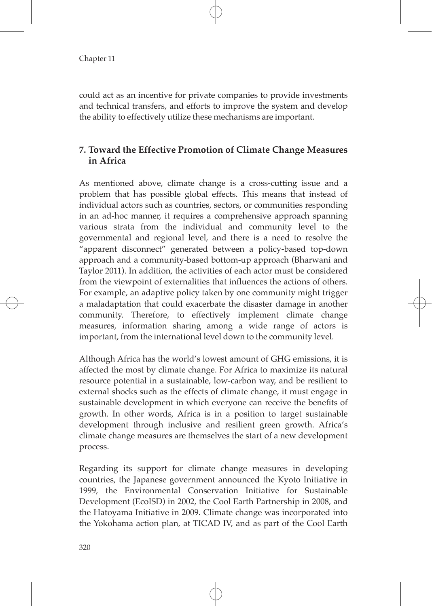could act as an incentive for private companies to provide investments and technical transfers, and efforts to improve the system and develop the ability to effectively utilize these mechanisms are important.

# **7. Toward the Effective Promotion of Climate Change Measures in Africa**

As mentioned above, climate change is a cross-cutting issue and a problem that has possible global effects. This means that instead of individual actors such as countries, sectors, or communities responding in an ad-hoc manner, it requires a comprehensive approach spanning various strata from the individual and community level to the governmental and regional level, and there is a need to resolve the "apparent disconnect" generated between a policy-based top-down approach and a community-based bottom-up approach (Bharwani and Taylor 2011). In addition, the activities of each actor must be considered from the viewpoint of externalities that influences the actions of others. For example, an adaptive policy taken by one community might trigger a maladaptation that could exacerbate the disaster damage in another community. Therefore, to effectively implement climate change measures, information sharing among a wide range of actors is important, from the international level down to the community level.

Although Africa has the world's lowest amount of GHG emissions, it is affected the most by climate change. For Africa to maximize its natural resource potential in a sustainable, low-carbon way, and be resilient to external shocks such as the effects of climate change, it must engage in sustainable development in which everyone can receive the benefits of growth. In other words, Africa is in a position to target sustainable development through inclusive and resilient green growth. Africa's climate change measures are themselves the start of a new development process.

Regarding its support for climate change measures in developing countries, the Japanese government announced the Kyoto Initiative in 1999, the Environmental Conservation Initiative for Sustainable Development (EcoISD) in 2002, the Cool Earth Partnership in 2008, and the Hatoyama Initiative in 2009. Climate change was incorporated into the Yokohama action plan, at TICAD IV, and as part of the Cool Earth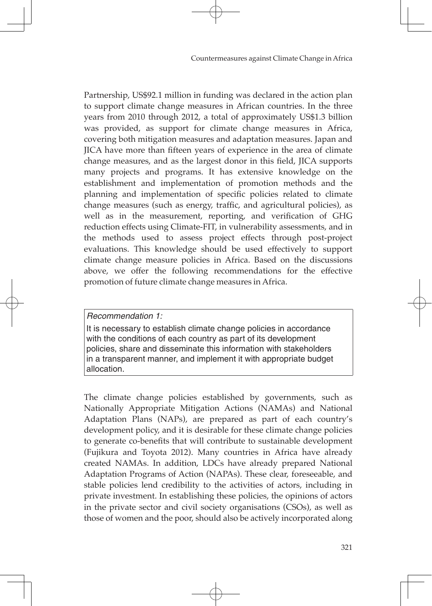Partnership, US\$92.1 million in funding was declared in the action plan to support climate change measures in African countries. In the three years from 2010 through 2012, a total of approximately US\$1.3 billion was provided, as support for climate change measures in Africa, covering both mitigation measures and adaptation measures. Japan and JICA have more than fifteen years of experience in the area of climate change measures, and as the largest donor in this field, JICA supports many projects and programs. It has extensive knowledge on the establishment and implementation of promotion methods and the planning and implementation of specific policies related to climate change measures (such as energy, traffic, and agricultural policies), as well as in the measurement, reporting, and verification of GHG reduction effects using Climate-FIT, in vulnerability assessments, and in the methods used to assess project effects through post-project evaluations. This knowledge should be used effectively to support climate change measure policies in Africa. Based on the discussions above, we offer the following recommendations for the effective promotion of future climate change measures in Africa.

### *Recommendation 1:*

It is necessary to establish climate change policies in accordance with the conditions of each country as part of its development policies, share and disseminate this information with stakeholders in a transparent manner, and implement it with appropriate budget allocation.

The climate change policies established by governments, such as Nationally Appropriate Mitigation Actions (NAMAs) and National Adaptation Plans (NAPs), are prepared as part of each country's development policy, and it is desirable for these climate change policies to generate co-benefits that will contribute to sustainable development (Fujikura and Toyota 2012). Many countries in Africa have already created NAMAs. In addition, LDCs have already prepared National Adaptation Programs of Action (NAPAs). These clear, foreseeable, and stable policies lend credibility to the activities of actors, including in private investment. In establishing these policies, the opinions of actors in the private sector and civil society organisations (CSOs), as well as those of women and the poor, should also be actively incorporated along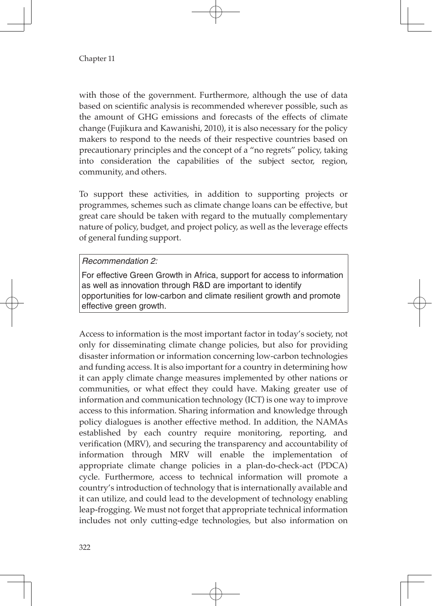with those of the government. Furthermore, although the use of data based on scientific analysis is recommended wherever possible, such as the amount of GHG emissions and forecasts of the effects of climate change (Fujikura and Kawanishi, 2010), it is also necessary for the policy makers to respond to the needs of their respective countries based on precautionary principles and the concept of a "no regrets" policy, taking into consideration the capabilities of the subject sector, region, community, and others.

To support these activities, in addition to supporting projects or programmes, schemes such as climate change loans can be effective, but great care should be taken with regard to the mutually complementary nature of policy, budget, and project policy, as well as the leverage effects of general funding support.

### *Recommendation 2:*

For effective Green Growth in Africa, support for access to information as well as innovation through R&D are important to identify opportunities for low-carbon and climate resilient growth and promote effective green growth.

Access to information is the most important factor in today's society, not only for disseminating climate change policies, but also for providing disaster information or information concerning low-carbon technologies and funding access. It is also important for a country in determining how it can apply climate change measures implemented by other nations or communities, or what effect they could have. Making greater use of information and communication technology (ICT) is one way to improve access to this information. Sharing information and knowledge through policy dialogues is another effective method. In addition, the NAMAs established by each country require monitoring, reporting, and verification (MRV), and securing the transparency and accountability of information through MRV will enable the implementation of appropriate climate change policies in a plan-do-check-act (PDCA) cycle. Furthermore, access to technical information will promote a country's introduction of technology that is internationally available and it can utilize, and could lead to the development of technology enabling leap-frogging. We must not forget that appropriate technical information includes not only cutting-edge technologies, but also information on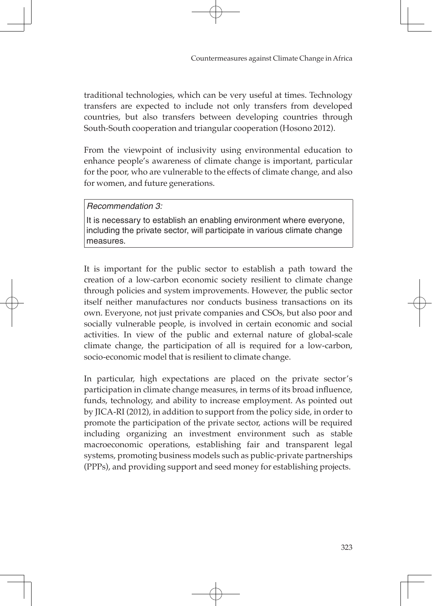traditional technologies, which can be very useful at times. Technology transfers are expected to include not only transfers from developed countries, but also transfers between developing countries through South-South cooperation and triangular cooperation (Hosono 2012).

From the viewpoint of inclusivity using environmental education to enhance people's awareness of climate change is important, particular for the poor, who are vulnerable to the effects of climate change, and also for women, and future generations.

#### *Recommendation 3:*

It is necessary to establish an enabling environment where everyone, including the private sector, will participate in various climate change measures.

It is important for the public sector to establish a path toward the creation of a low-carbon economic society resilient to climate change through policies and system improvements. However, the public sector itself neither manufactures nor conducts business transactions on its own. Everyone, not just private companies and CSOs, but also poor and socially vulnerable people, is involved in certain economic and social activities. In view of the public and external nature of global-scale climate change, the participation of all is required for a low-carbon, socio-economic model that is resilient to climate change.

In particular, high expectations are placed on the private sector's participation in climate change measures, in terms of its broad influence, funds, technology, and ability to increase employment. As pointed out by JICA-RI (2012), in addition to support from the policy side, in order to promote the participation of the private sector, actions will be required including organizing an investment environment such as stable macroeconomic operations, establishing fair and transparent legal systems, promoting business models such as public-private partnerships (PPPs), and providing support and seed money for establishing projects.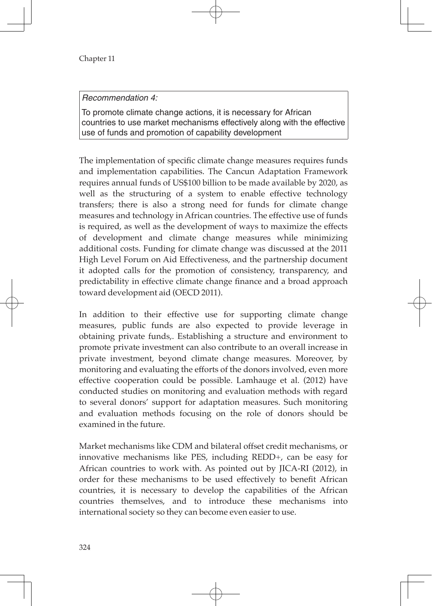*Recommendation 4:*

To promote climate change actions, it is necessary for African countries to use market mechanisms effectively along with the effective use of funds and promotion of capability development

The implementation of specific climate change measures requires funds and implementation capabilities. The Cancun Adaptation Framework requires annual funds of US\$100 billion to be made available by 2020, as well as the structuring of a system to enable effective technology transfers; there is also a strong need for funds for climate change measures and technology in African countries. The effective use of funds is required, as well as the development of ways to maximize the effects of development and climate change measures while minimizing additional costs. Funding for climate change was discussed at the 2011 High Level Forum on Aid Effectiveness, and the partnership document it adopted calls for the promotion of consistency, transparency, and predictability in effective climate change finance and a broad approach toward development aid (OECD 2011).

In addition to their effective use for supporting climate change measures, public funds are also expected to provide leverage in obtaining private funds,. Establishing a structure and environment to promote private investment can also contribute to an overall increase in private investment, beyond climate change measures. Moreover, by monitoring and evaluating the efforts of the donors involved, even more effective cooperation could be possible. Lamhauge et al. (2012) have conducted studies on monitoring and evaluation methods with regard to several donors' support for adaptation measures. Such monitoring and evaluation methods focusing on the role of donors should be examined in the future.

Market mechanisms like CDM and bilateral offset credit mechanisms, or innovative mechanisms like PES, including REDD+, can be easy for African countries to work with. As pointed out by JICA-RI (2012), in order for these mechanisms to be used effectively to benefit African countries, it is necessary to develop the capabilities of the African countries themselves, and to introduce these mechanisms into international society so they can become even easier to use.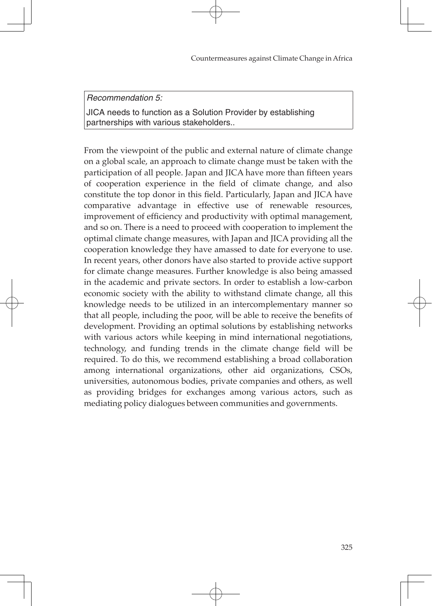*Recommendation 5:*

JICA needs to function as a Solution Provider by establishing partnerships with various stakeholders..

From the viewpoint of the public and external nature of climate change on a global scale, an approach to climate change must be taken with the participation of all people. Japan and JICA have more than fifteen years of cooperation experience in the field of climate change, and also constitute the top donor in this field. Particularly, Japan and JICA have comparative advantage in effective use of renewable resources, improvement of efficiency and productivity with optimal management, and so on. There is a need to proceed with cooperation to implement the optimal climate change measures, with Japan and JICA providing all the cooperation knowledge they have amassed to date for everyone to use. In recent years, other donors have also started to provide active support for climate change measures. Further knowledge is also being amassed in the academic and private sectors. In order to establish a low-carbon economic society with the ability to withstand climate change, all this knowledge needs to be utilized in an intercomplementary manner so that all people, including the poor, will be able to receive the benefits of development. Providing an optimal solutions by establishing networks with various actors while keeping in mind international negotiations, technology, and funding trends in the climate change field will be required. To do this, we recommend establishing a broad collaboration among international organizations, other aid organizations, CSOs, universities, autonomous bodies, private companies and others, as well as providing bridges for exchanges among various actors, such as mediating policy dialogues between communities and governments.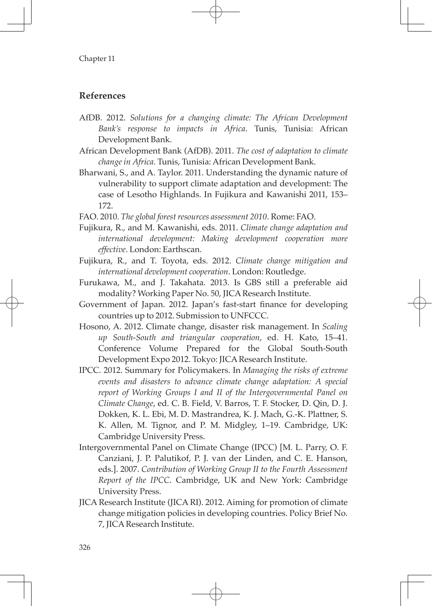# **References**

- AfDB. 2012. *Solutions for a changing climate: The African Development Bank's response to impacts in Africa*. Tunis, Tunisia: African Development Bank.
- African Development Bank (AfDB). 2011. *The cost of adaptation to climate change in Africa.* Tunis, Tunisia: African Development Bank.
- Bharwani, S., and A. Taylor. 2011. Understanding the dynamic nature of vulnerability to support climate adaptation and development: The case of Lesotho Highlands. In Fujikura and Kawanishi 2011, 153– 172.
- FAO. 2010. *The global forest resources assessment 2010*. Rome: FAO.
- Fujikura, R., and M. Kawanishi, eds. 2011. *Climate change adaptation and international development: Making development cooperation more effective*. London: Earthscan.
- Fujikura, R., and T. Toyota, eds. 2012. *Climate change mitigation and international development cooperation*. London: Routledge.
- Furukawa, M., and J. Takahata. 2013. Is GBS still a preferable aid modality? Working Paper No. 50, JICA Research Institute.
- Government of Japan. 2012. Japan's fast-start finance for developing countries up to 2012. Submission to UNFCCC.
- Hosono, A. 2012. Climate change, disaster risk management. In *Scaling up South-South and triangular cooperation*, ed. H. Kato, 15–41. Conference Volume Prepared for the Global South-South Development Expo 2012. Tokyo: JICA Research Institute.
- IPCC. 2012. Summary for Policymakers. In *Managing the risks of extreme events and disasters to advance climate change adaptation: A special report of Working Groups I and II of the Intergovernmental Panel on Climate Change*, ed. C. B. Field, V. Barros, T. F. Stocker, D. Qin, D. J. Dokken, K. L. Ebi, M. D. Mastrandrea, K. J. Mach, G.-K. Plattner, S. K. Allen, M. Tignor, and P. M. Midgley, 1–19. Cambridge, UK: Cambridge University Press.
- Intergovernmental Panel on Climate Change (IPCC) [M. L. Parry, O. F. Canziani, J. P. Palutikof, P. J. van der Linden, and C. E. Hanson, eds.]. 2007. *Contribution of Working Group II to the Fourth Assessment Report of the IPCC*. Cambridge, UK and New York: Cambridge University Press.
- JICA Research Institute (JICA RI). 2012. Aiming for promotion of climate change mitigation policies in developing countries. Policy Brief No. 7, JICA Research Institute.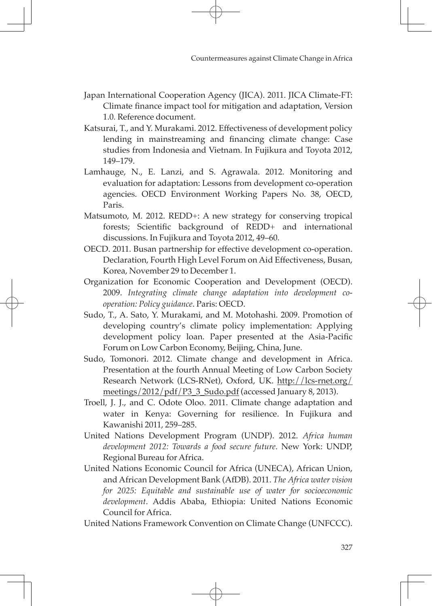- Japan International Cooperation Agency (JICA). 2011. JICA Climate-FT: Climate finance impact tool for mitigation and adaptation, Version 1.0*.* Reference document.
- Katsurai, T., and Y. Murakami. 2012. Effectiveness of development policy lending in mainstreaming and financing climate change: Case studies from Indonesia and Vietnam. In Fujikura and Toyota 2012, 149–179.
- Lamhauge, N., E. Lanzi, and S. Agrawala. 2012. Monitoring and evaluation for adaptation: Lessons from development co-operation agencies. OECD Environment Working Papers No. 38, OECD, Paris.
- Matsumoto, M. 2012. REDD+: A new strategy for conserving tropical forests; Scientific background of REDD+ and international discussions. In Fujikura and Toyota 2012, 49–60.
- OECD. 2011. Busan partnership for effective development co-operation. Declaration, Fourth High Level Forum on Aid Effectiveness, Busan, Korea, November 29 to December 1.
- Organization for Economic Cooperation and Development (OECD). 2009. *Integrating climate change adaptation into development cooperation: Policy guidance*. Paris: OECD.
- Sudo, T., A. Sato, Y. Murakami, and M. Motohashi. 2009. Promotion of developing country's climate policy implementation: Applying development policy loan. Paper presented at the Asia-Pacific Forum on Low Carbon Economy, Beijing, China, June.
- Sudo, Tomonori. 2012. Climate change and development in Africa. Presentation at the fourth Annual Meeting of Low Carbon Society Research Network (LCS-RNet), Oxford, UK. http://lcs-rnet.org/ meetings/2012/pdf/P3\_3\_Sudo.pdf (accessed January 8, 2013).
- Troell, J. J., and C. Odote Oloo. 2011. Climate change adaptation and water in Kenya: Governing for resilience. In Fujikura and Kawanishi 2011, 259–285.
- United Nations Development Program (UNDP). 2012. *Africa human development 2012: Towards a food secure future*. New York: UNDP, Regional Bureau for Africa.
- United Nations Economic Council for Africa (UNECA), African Union, and African Development Bank (AfDB). 2011. *The Africa water vision for 2025: Equitable and sustainable use of water for socioeconomic development*. Addis Ababa, Ethiopia: United Nations Economic Council for Africa.

United Nations Framework Convention on Climate Change (UNFCCC).